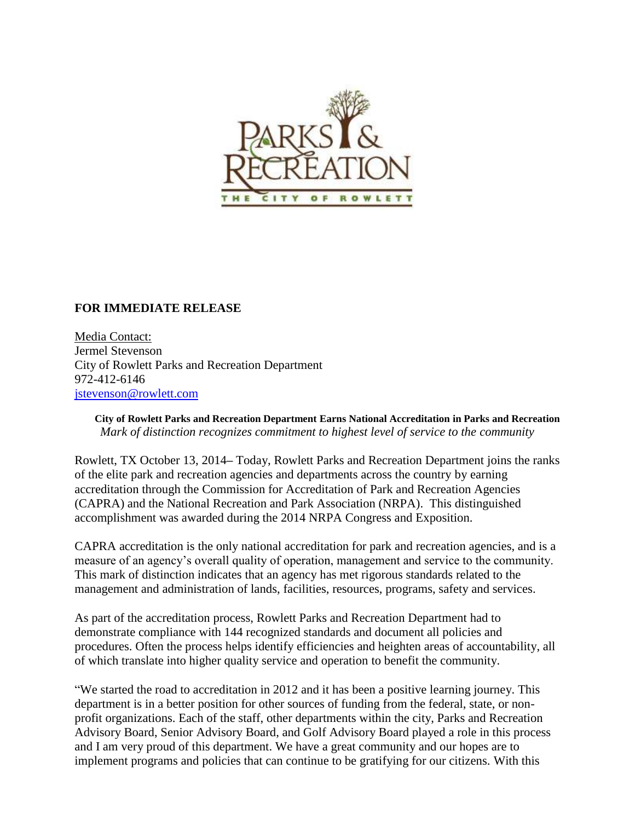

## **FOR IMMEDIATE RELEASE**

Media Contact: Jermel Stevenson City of Rowlett Parks and Recreation Department 972-412-6146 [jstevenson@rowlett.com](mailto:jstevenson@rowlett.com)

**City of Rowlett Parks and Recreation Department Earns National Accreditation in Parks and Recreation**  *Mark of distinction recognizes commitment to highest level of service to the community*

Rowlett, TX October 13, 2014**–** Today, Rowlett Parks and Recreation Department joins the ranks of the elite park and recreation agencies and departments across the country by earning accreditation through the Commission for Accreditation of Park and Recreation Agencies (CAPRA) and the National Recreation and Park Association (NRPA). This distinguished accomplishment was awarded during the 2014 NRPA Congress and Exposition.

CAPRA accreditation is the only national accreditation for park and recreation agencies, and is a measure of an agency's overall quality of operation, management and service to the community. This mark of distinction indicates that an agency has met rigorous standards related to the management and administration of lands, facilities, resources, programs, safety and services.

As part of the accreditation process, Rowlett Parks and Recreation Department had to demonstrate compliance with 144 recognized standards and document all policies and procedures. Often the process helps identify efficiencies and heighten areas of accountability, all of which translate into higher quality service and operation to benefit the community.

"We started the road to accreditation in 2012 and it has been a positive learning journey. This department is in a better position for other sources of funding from the federal, state, or nonprofit organizations. Each of the staff, other departments within the city, Parks and Recreation Advisory Board, Senior Advisory Board, and Golf Advisory Board played a role in this process and I am very proud of this department. We have a great community and our hopes are to implement programs and policies that can continue to be gratifying for our citizens. With this